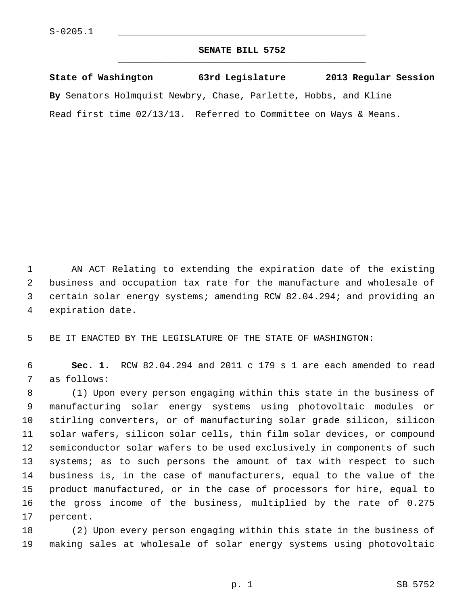## **SENATE BILL 5752** \_\_\_\_\_\_\_\_\_\_\_\_\_\_\_\_\_\_\_\_\_\_\_\_\_\_\_\_\_\_\_\_\_\_\_\_\_\_\_\_\_\_\_\_\_

**State of Washington 63rd Legislature 2013 Regular Session By** Senators Holmquist Newbry, Chase, Parlette, Hobbs, and Kline Read first time 02/13/13. Referred to Committee on Ways & Means.

 1 AN ACT Relating to extending the expiration date of the existing 2 business and occupation tax rate for the manufacture and wholesale of 3 certain solar energy systems; amending RCW 82.04.294; and providing an 4 expiration date.

5 BE IT ENACTED BY THE LEGISLATURE OF THE STATE OF WASHINGTON:

 6 **Sec. 1.** RCW 82.04.294 and 2011 c 179 s 1 are each amended to read 7 as follows:

 8 (1) Upon every person engaging within this state in the business of 9 manufacturing solar energy systems using photovoltaic modules or 10 stirling converters, or of manufacturing solar grade silicon, silicon 11 solar wafers, silicon solar cells, thin film solar devices, or compound 12 semiconductor solar wafers to be used exclusively in components of such 13 systems; as to such persons the amount of tax with respect to such 14 business is, in the case of manufacturers, equal to the value of the 15 product manufactured, or in the case of processors for hire, equal to 16 the gross income of the business, multiplied by the rate of 0.275 17 percent.

18 (2) Upon every person engaging within this state in the business of 19 making sales at wholesale of solar energy systems using photovoltaic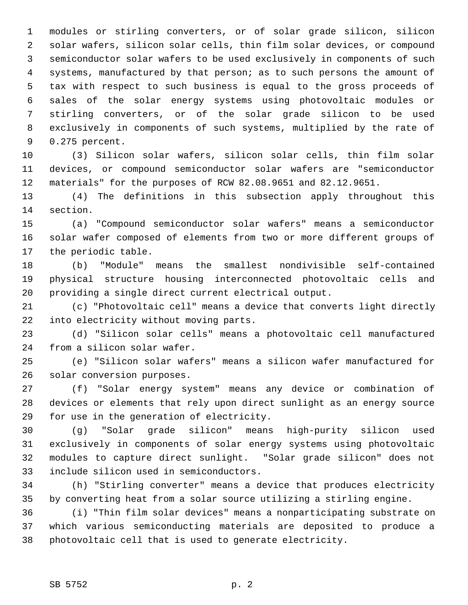1 modules or stirling converters, or of solar grade silicon, silicon 2 solar wafers, silicon solar cells, thin film solar devices, or compound 3 semiconductor solar wafers to be used exclusively in components of such 4 systems, manufactured by that person; as to such persons the amount of 5 tax with respect to such business is equal to the gross proceeds of 6 sales of the solar energy systems using photovoltaic modules or 7 stirling converters, or of the solar grade silicon to be used 8 exclusively in components of such systems, multiplied by the rate of 9 0.275 percent.

10 (3) Silicon solar wafers, silicon solar cells, thin film solar 11 devices, or compound semiconductor solar wafers are "semiconductor 12 materials" for the purposes of RCW 82.08.9651 and 82.12.9651.

13 (4) The definitions in this subsection apply throughout this 14 section.

15 (a) "Compound semiconductor solar wafers" means a semiconductor 16 solar wafer composed of elements from two or more different groups of 17 the periodic table.

18 (b) "Module" means the smallest nondivisible self-contained 19 physical structure housing interconnected photovoltaic cells and 20 providing a single direct current electrical output.

21 (c) "Photovoltaic cell" means a device that converts light directly 22 into electricity without moving parts.

23 (d) "Silicon solar cells" means a photovoltaic cell manufactured 24 from a silicon solar wafer.

25 (e) "Silicon solar wafers" means a silicon wafer manufactured for 26 solar conversion purposes.

27 (f) "Solar energy system" means any device or combination of 28 devices or elements that rely upon direct sunlight as an energy source 29 for use in the generation of electricity.

30 (g) "Solar grade silicon" means high-purity silicon used 31 exclusively in components of solar energy systems using photovoltaic 32 modules to capture direct sunlight. "Solar grade silicon" does not 33 include silicon used in semiconductors.

34 (h) "Stirling converter" means a device that produces electricity 35 by converting heat from a solar source utilizing a stirling engine.

36 (i) "Thin film solar devices" means a nonparticipating substrate on 37 which various semiconducting materials are deposited to produce a 38 photovoltaic cell that is used to generate electricity.